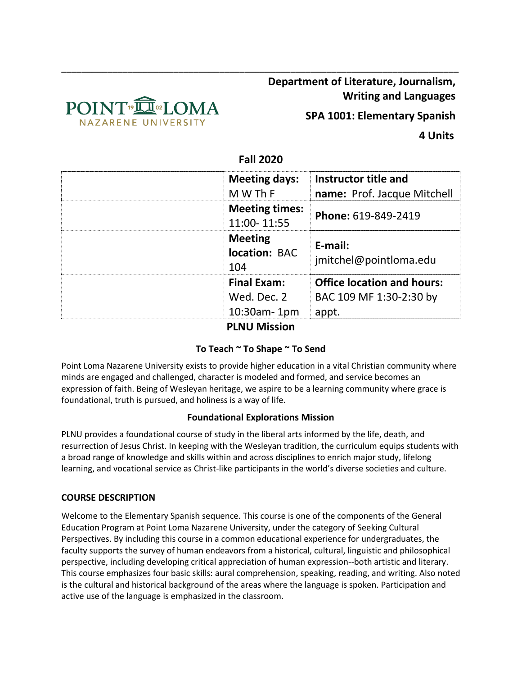

**Department of Literature, Journalism, Writing and Languages**

**SPA 1001: Elementary Spanish**

 **4 Units**

# **Fall 2020**

\_\_\_\_\_\_\_\_\_\_\_\_\_\_\_\_\_\_\_\_\_\_\_\_\_\_\_\_\_\_\_\_\_\_\_\_\_\_\_\_\_\_\_\_\_\_\_\_\_\_\_\_\_\_\_\_\_\_\_\_\_\_\_\_\_\_\_\_\_\_\_\_\_\_\_\_\_\_

| <b>Meeting days:</b><br>M W Th F       | Instructor title and<br>name: Prof. Jacque Mitchell |
|----------------------------------------|-----------------------------------------------------|
| <b>Meeting times:</b><br>11:00-11:55   | Phone: 619-849-2419                                 |
| <b>Meeting</b><br>location: BAC<br>104 | E-mail:<br>jmitchel@pointloma.edu                   |
| <b>Final Exam:</b>                     | <b>Office location and hours:</b>                   |
| Wed. Dec. 2                            | BAC 109 MF 1:30-2:30 by                             |
| 10:30am-1pm                            | appt.                                               |

# **PLNU Mission**

# **To Teach ~ To Shape ~ To Send**

Point Loma Nazarene University exists to provide higher education in a vital Christian community where minds are engaged and challenged, character is modeled and formed, and service becomes an expression of faith. Being of Wesleyan heritage, we aspire to be a learning community where grace is foundational, truth is pursued, and holiness is a way of life.

# **Foundational Explorations Mission**

PLNU provides a foundational course of study in the liberal arts informed by the life, death, and resurrection of Jesus Christ. In keeping with the Wesleyan tradition, the curriculum equips students with a broad range of knowledge and skills within and across disciplines to enrich major study, lifelong learning, and vocational service as Christ-like participants in the world's diverse societies and culture.

# **COURSE DESCRIPTION**

Welcome to the Elementary Spanish sequence. This course is one of the components of the General Education Program at Point Loma Nazarene University, under the category of Seeking Cultural Perspectives. By including this course in a common educational experience for undergraduates, the faculty supports the survey of human endeavors from a historical, cultural, linguistic and philosophical perspective, including developing critical appreciation of human expression--both artistic and literary. This course emphasizes four basic skills: aural comprehension, speaking, reading, and writing. Also noted is the cultural and historical background of the areas where the language is spoken. Participation and active use of the language is emphasized in the classroom.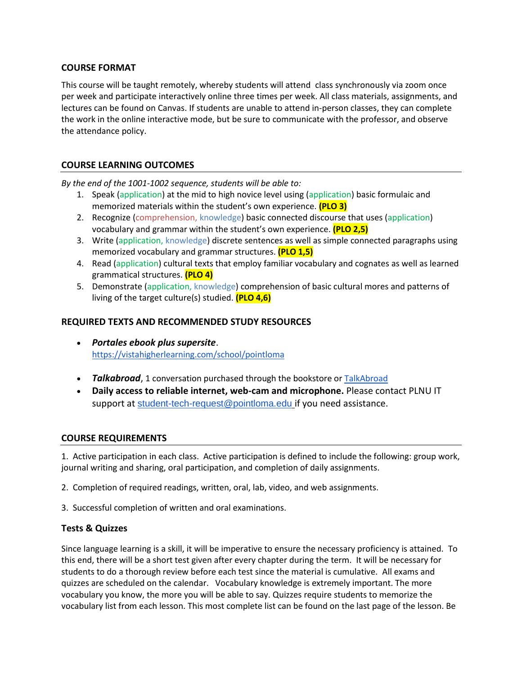#### **COURSE FORMAT**

This course will be taught remotely, whereby students will attend class synchronously via zoom once per week and participate interactively online three times per week. All class materials, assignments, and lectures can be found on Canvas. If students are unable to attend in-person classes, they can complete the work in the online interactive mode, but be sure to communicate with the professor, and observe the attendance policy.

#### **COURSE LEARNING OUTCOMES**

*By the end of the 1001-1002 sequence, students will be able to:*

- 1. Speak (application) at the mid to high novice level using (application) basic formulaic and memorized materials within the student's own experience. **(PLO 3)**
- 2. Recognize (comprehension, knowledge) basic connected discourse that uses (application) vocabulary and grammar within the student's own experience. **(PLO 2,5)**
- 3. Write (application, knowledge) discrete sentences as well as simple connected paragraphs using memorized vocabulary and grammar structures. **(PLO 1,5)**
- 4. Read (application) cultural texts that employ familiar vocabulary and cognates as well as learned grammatical structures. **(PLO 4)**
- 5. Demonstrate (application, knowledge) comprehension of basic cultural mores and patterns of living of the target culture(s) studied. **(PLO 4,6)**

### **REQUIRED TEXTS AND RECOMMENDED STUDY RESOURCES**

- *Portales ebook plus supersite*. <https://vistahigherlearning.com/school/pointloma>
- *Talkabroad*, 1 conversation purchased through the bookstore or [TalkAbroad](https://talkabroad.com/)
- **Daily access to reliable internet, web-cam and microphone.** Please contact PLNU IT support at [student-tech-request@pointloma.edu](mailto:student-tech-request@pointloma.edu) if you need assistance.

### **COURSE REQUIREMENTS**

1. Active participation in each class. Active participation is defined to include the following: group work, journal writing and sharing, oral participation, and completion of daily assignments.

- 2. Completion of required readings, written, oral, lab, video, and web assignments.
- 3. Successful completion of written and oral examinations.

### **Tests & Quizzes**

Since language learning is a skill, it will be imperative to ensure the necessary proficiency is attained. To this end, there will be a short test given after every chapter during the term. It will be necessary for students to do a thorough review before each test since the material is cumulative. All exams and quizzes are scheduled on the calendar. Vocabulary knowledge is extremely important. The more vocabulary you know, the more you will be able to say. Quizzes require students to memorize the vocabulary list from each lesson. This most complete list can be found on the last page of the lesson. Be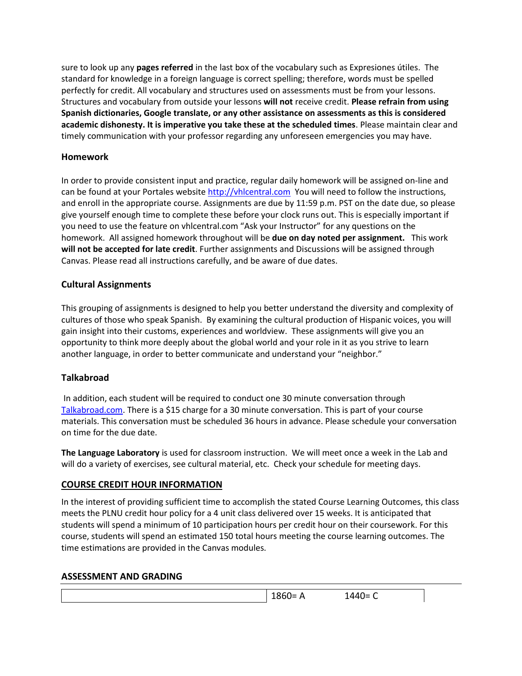sure to look up any **pages referred** in the last box of the vocabulary such as Expresiones útiles. The standard for knowledge in a foreign language is correct spelling; therefore, words must be spelled perfectly for credit. All vocabulary and structures used on assessments must be from your lessons. Structures and vocabulary from outside your lessons **will not** receive credit. **Please refrain from using Spanish dictionaries, Google translate, or any other assistance on assessments as this is considered academic dishonesty. It is imperative you take these at the scheduled times**. Please maintain clear and timely communication with your professor regarding any unforeseen emergencies you may have.

### **Homework**

In order to provide consistent input and practice, regular daily homework will be assigned on-line and can be found at your Portales website [http://vhlcentral.com](http://vhlcentral.com/) You will need to follow the instructions, and enroll in the appropriate course. Assignments are due by 11:59 p.m. PST on the date due, so please give yourself enough time to complete these before your clock runs out. This is especially important if you need to use the feature on vhlcentral.com "Ask your Instructor" for any questions on the homework. All assigned homework throughout will be **due on day noted per assignment.** This work **will not be accepted for late credit**. Further assignments and Discussions will be assigned through Canvas. Please read all instructions carefully, and be aware of due dates.

### **Cultural Assignments**

This grouping of assignments is designed to help you better understand the diversity and complexity of cultures of those who speak Spanish. By examining the cultural production of Hispanic voices, you will gain insight into their customs, experiences and worldview. These assignments will give you an opportunity to think more deeply about the global world and your role in it as you strive to learn another language, in order to better communicate and understand your "neighbor."

# **Talkabroad**

In addition, each student will be required to conduct one 30 minute conversation through [Talkabroad.com.](about:blank) There is a \$15 charge for a 30 minute conversation. This is part of your course materials. This conversation must be scheduled 36 hours in advance. Please schedule your conversation on time for the due date.

**The Language Laboratory** is used for classroom instruction. We will meet once a week in the Lab and will do a variety of exercises, see cultural material, etc. Check your schedule for meeting days.

### **COURSE CREDIT HOUR INFORMATION**

In the interest of providing sufficient time to accomplish the stated Course Learning Outcomes, this class meets the PLNU credit hour policy for a 4 unit class delivered over 15 weeks. It is anticipated that students will spend a minimum of 10 participation hours per credit hour on their coursework. For this course, students will spend an estimated 150 total hours meeting the course learning outcomes. The time estimations are provided in the Canvas modules.

# **ASSESSMENT AND GRADING**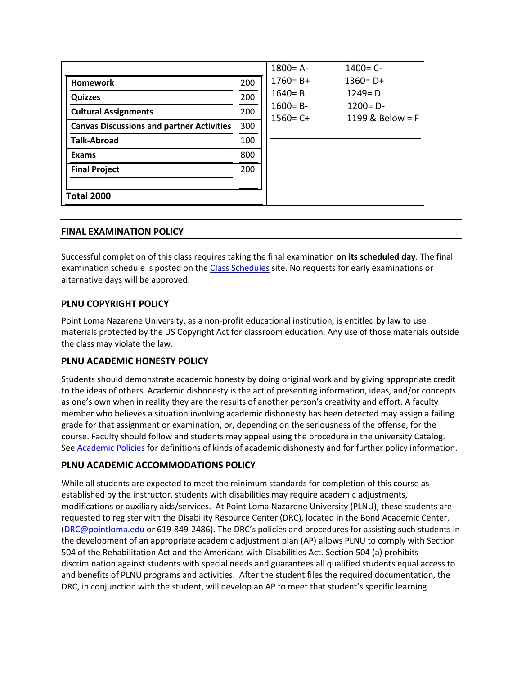|                                                  |     | $1800 = A -$                                                     | $1400 = C -$ |  |
|--------------------------------------------------|-----|------------------------------------------------------------------|--------------|--|
| <b>Homework</b>                                  | 200 | $1760 = B +$                                                     | $1360 = D +$ |  |
| <b>Quizzes</b>                                   | 200 | $1249 = D$<br>$1640 = B$                                         |              |  |
| <b>Cultural Assignments</b>                      | 200 | $1600 = B -$<br>$1200 = D -$<br>1199 & Below = F<br>$1560 = C +$ |              |  |
| <b>Canvas Discussions and partner Activities</b> | 300 |                                                                  |              |  |
| <b>Talk-Abroad</b>                               | 100 |                                                                  |              |  |
| <b>Exams</b>                                     | 800 |                                                                  |              |  |
| <b>Final Project</b>                             | 200 |                                                                  |              |  |
|                                                  |     |                                                                  |              |  |
| <b>Total 2000</b>                                |     |                                                                  |              |  |

#### **FINAL EXAMINATION POLICY**

Successful completion of this class requires taking the final examination **on its scheduled day**. The final examination schedule is posted on th[e Class Schedules](http://www.pointloma.edu/experience/academics/class-schedules) site. No requests for early examinations or alternative days will be approved.

#### **PLNU COPYRIGHT POLICY**

Point Loma Nazarene University, as a non-profit educational institution, is entitled by law to use materials protected by the US Copyright Act for classroom education. Any use of those materials outside the class may violate the law.

#### **PLNU ACADEMIC HONESTY POLICY**

Students should demonstrate academic honesty by doing original work and by giving appropriate credit to the ideas of others. Academic dishonesty is the act of presenting information, ideas, and/or concepts as one's own when in reality they are the results of another person's creativity and effort. A faculty member who believes a situation involving academic dishonesty has been detected may assign a failing grade for that assignment or examination, or, depending on the seriousness of the offense, for the course. Faculty should follow and students may appeal using the procedure in the university Catalog. Se[e Academic Policies](http://catalog.pointloma.edu/content.php?catoid=18&navoid=1278) for definitions of kinds of academic dishonesty and for further policy information.

#### **PLNU ACADEMIC ACCOMMODATIONS POLICY**

While all students are expected to meet the minimum standards for completion of this course as established by the instructor, students with disabilities may require academic adjustments, modifications or auxiliary aids/services. At Point Loma Nazarene University (PLNU), these students are requested to register with the Disability Resource Center (DRC), located in the Bond Academic Center. [\(DRC@pointloma.edu](mailto:DRC@pointloma.edu) or 619-849-2486). The DRC's policies and procedures for assisting such students in the development of an appropriate academic adjustment plan (AP) allows PLNU to comply with Section 504 of the Rehabilitation Act and the Americans with Disabilities Act. Section 504 (a) prohibits discrimination against students with special needs and guarantees all qualified students equal access to and benefits of PLNU programs and activities. After the student files the required documentation, the DRC, in conjunction with the student, will develop an AP to meet that student's specific learning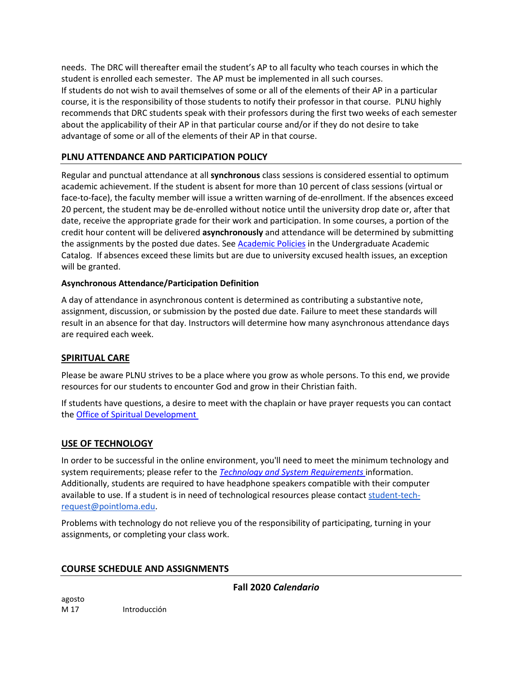needs. The DRC will thereafter email the student's AP to all faculty who teach courses in which the student is enrolled each semester. The AP must be implemented in all such courses. If students do not wish to avail themselves of some or all of the elements of their AP in a particular course, it is the responsibility of those students to notify their professor in that course. PLNU highly recommends that DRC students speak with their professors during the first two weeks of each semester about the applicability of their AP in that particular course and/or if they do not desire to take advantage of some or all of the elements of their AP in that course.

## **PLNU ATTENDANCE AND PARTICIPATION POLICY**

Regular and punctual attendance at all **synchronous** class sessions is considered essential to optimum academic achievement. If the student is absent for more than 10 percent of class sessions (virtual or face-to-face), the faculty member will issue a written warning of de-enrollment. If the absences exceed 20 percent, the student may be de-enrolled without notice until the university drop date or, after that date, receive the appropriate grade for their work and participation. In some courses, a portion of the credit hour content will be delivered **asynchronously** and attendance will be determined by submitting the assignments by the posted due dates. See **Academic Policies** in the Undergraduate Academic Catalog. If absences exceed these limits but are due to university excused health issues, an exception will be granted.

#### **Asynchronous Attendance/Participation Definition**

A day of attendance in asynchronous content is determined as contributing a substantive note, assignment, discussion, or submission by the posted due date. Failure to meet these standards will result in an absence for that day. Instructors will determine how many asynchronous attendance days are required each week.

### **SPIRITUAL CARE**

Please be aware PLNU strives to be a place where you grow as whole persons. To this end, we provide resources for our students to encounter God and grow in their Christian faith.

If students have questions, a desire to meet with the chaplain or have prayer requests you can contact the **Office of Spiritual Development** 

### **USE OF TECHNOLOGY**

In order to be successful in the online environment, you'll need to meet the minimum technology and system requirements; please refer to the *[Technology and System Requirements](https://help.pointloma.edu/TDClient/1808/Portal/KB/ArticleDet?ID=108349)* information. Additionally, students are required to have headphone speakers compatible with their computer available to use. If a student is in need of technological resources please contact [student-tech](mailto:student-tech-request@pointloma.edu)[request@pointloma.edu.](mailto:student-tech-request@pointloma.edu)

Problems with technology do not relieve you of the responsibility of participating, turning in your assignments, or completing your class work.

### **COURSE SCHEDULE AND ASSIGNMENTS**

**Fall 2020** *Calendario*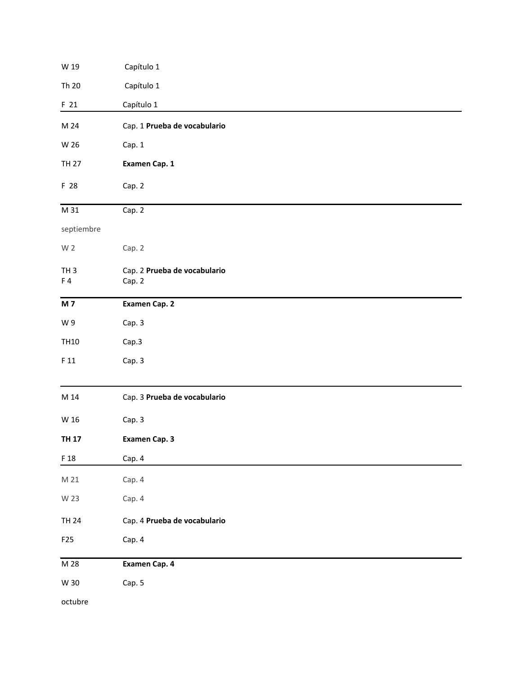| W 19                  | Capítulo 1                             |  |  |  |  |
|-----------------------|----------------------------------------|--|--|--|--|
| Th 20                 | Capítulo 1                             |  |  |  |  |
| F 21                  | Capítulo 1                             |  |  |  |  |
| M 24                  | Cap. 1 Prueba de vocabulario           |  |  |  |  |
| W 26                  | Cap. 1                                 |  |  |  |  |
| <b>TH 27</b>          | Examen Cap. 1                          |  |  |  |  |
| F 28                  | Cap. 2                                 |  |  |  |  |
| M 31                  | Cap. 2                                 |  |  |  |  |
| septiembre            |                                        |  |  |  |  |
| W <sub>2</sub>        | Cap. 2                                 |  |  |  |  |
| TH <sub>3</sub><br>F4 | Cap. 2 Prueba de vocabulario<br>Cap. 2 |  |  |  |  |
| <b>M7</b>             | Examen Cap. 2                          |  |  |  |  |
| W9                    | Cap. 3                                 |  |  |  |  |
| <b>TH10</b>           | Cap.3                                  |  |  |  |  |
| F11                   | Cap. 3                                 |  |  |  |  |
| M 14                  | Cap. 3 Prueba de vocabulario           |  |  |  |  |
| W 16                  | Cap. 3                                 |  |  |  |  |
| <b>TH 17</b>          | Examen Cap. 3                          |  |  |  |  |
| F 18                  | Cap. 4                                 |  |  |  |  |
| M 21                  | Cap. 4                                 |  |  |  |  |
| W 23                  | Cap. 4                                 |  |  |  |  |
| <b>TH 24</b>          | Cap. 4 Prueba de vocabulario           |  |  |  |  |
| F25                   | Cap. 4                                 |  |  |  |  |
| M 28                  | Examen Cap. 4                          |  |  |  |  |
| W 30                  | Cap. 5                                 |  |  |  |  |
| octubre               |                                        |  |  |  |  |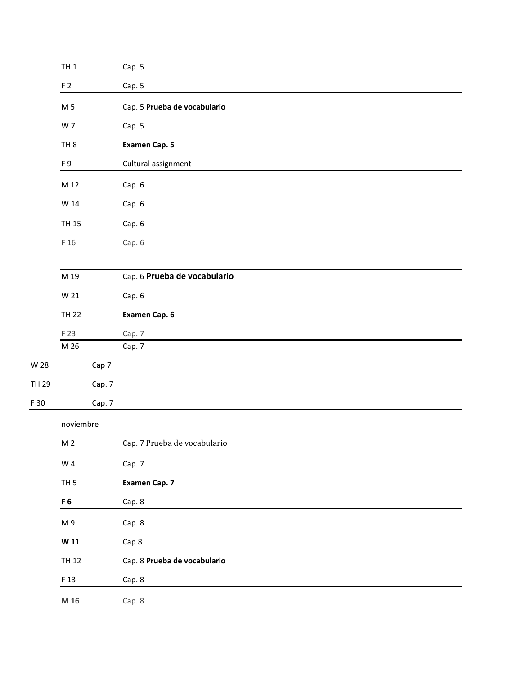|       | $TH1$           |        | Cap. 5                       |
|-------|-----------------|--------|------------------------------|
|       | F <sub>2</sub>  |        | Cap. 5                       |
|       | M 5             |        | Cap. 5 Prueba de vocabulario |
|       | W 7             |        | Cap. 5                       |
|       | TH <sub>8</sub> |        | Examen Cap. 5                |
|       | F9              |        | Cultural assignment          |
|       | M 12            |        | Cap. 6                       |
|       | W 14            |        | Cap. 6                       |
|       | <b>TH 15</b>    |        | Cap. 6                       |
|       | F 16            |        | Cap. 6                       |
|       |                 |        |                              |
|       | M 19            |        | Cap. 6 Prueba de vocabulario |
|       | W 21            |        | Cap. 6                       |
|       | <b>TH 22</b>    |        | Examen Cap. 6                |
|       | F 23            |        | Cap. 7                       |
|       | M 26            |        | Cap. 7                       |
| W 28  |                 | Cap 7  |                              |
| TH 29 |                 | Cap. 7 |                              |
| F 30  |                 | Cap. 7 |                              |
|       | noviembre       |        |                              |
|       | M <sub>2</sub>  |        | Cap. 7 Prueba de vocabulario |
|       | W 4             |        | Cap. 7                       |
|       | TH <sub>5</sub> |        | <b>Examen Cap. 7</b>         |
|       | F <sub>6</sub>  |        | Cap. 8                       |
|       | M 9             |        | Cap. 8                       |
|       | W <sub>11</sub> |        | Cap.8                        |
|       | <b>TH 12</b>    |        | Cap. 8 Prueba de vocabulario |
|       | F 13            |        | Cap. 8                       |
|       | M 16            |        | Cap. 8                       |